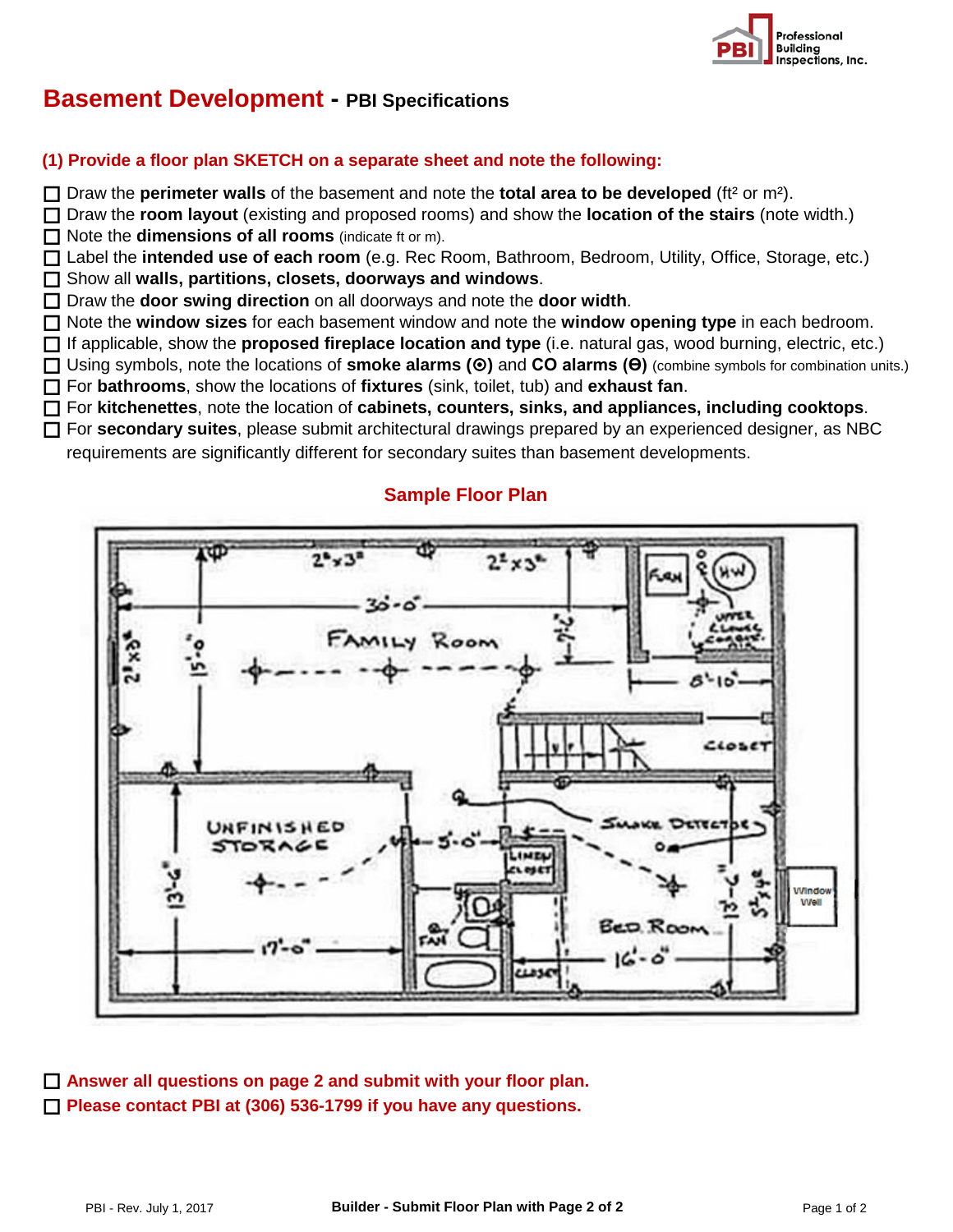

## **Basement Development - PBI Specifications**

## **(1) Provide a floor plan SKETCH on a separate sheet and note the following:**

Draw the **perimeter walls** of the basement and note the **total area to be developed** (ft² or m²).

 Draw the **room layout** (existing and proposed rooms) and show the **location of the stairs** (note width.) □ Note the **dimensions of all rooms** (indicate ft or m).

 Label the **intended use of each room** (e.g. Rec Room, Bathroom, Bedroom, Utility, Office, Storage, etc.) Show all **walls, partitions, closets, doorways and windows**.

□ Draw the **door swing direction** on all doorways and note the **door width**.

Note the **window sizes** for each basement window and note the **window opening type** in each bedroom.

If applicable, show the **proposed fireplace location and type** (i.e. natural gas, wood burning, electric, etc.)

 Using symbols, note the locations of **smoke alarms ()** and **CO alarms (Ө)** (combine symbols for combination units.) For **bathrooms**, show the locations of **fixtures** (sink, toilet, tub) and **exhaust fan**.

For **kitchenettes**, note the location of **cabinets, counters, sinks, and appliances, including cooktops**.

For **secondary suites**, please submit architectural drawings prepared by an experienced designer, as NBC

requirements are significantly different for secondary suites than basement developments.

## **Sample Floor Plan**



 **Answer all questions on page 2 and submit with your floor plan. Please contact PBI at (306) 536-1799 if you have any questions.**